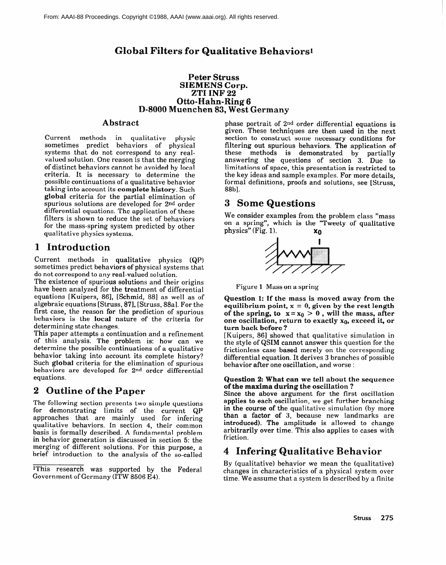# **Global Filters for Qualitative Behaviors<sup>1</sup>**

#### **Peter Struss SIEMEMS Corp. ZrI INF 22 Otto-Hahn-Ring 6 D-8000 Muenchen 83, West Germany**

## **Abstract**

Current methods in qualitative physic sometimes predict behaviors of physical systems that do not correspond to any realvalued solution. One reason is that the merging of distinct behaviors cannot be avoided by local criteria. It is necessary to determine the possible continuations of a qualitative behavior taking into account its **complete history.** Such **global** criteria for the partial elimination of spurious solutions are developed for 2nd order differential equations. The application of these filters is shown to reduce the set of behaviors for the mass-spring system predicted by other qualitative physics systems.

# 1 **Introduction**

Current methods in qualitative physics (QP) sometimes predict behaviors of physical systems that do not correspond to any real-valued solution.

The existence of spurious solutions and their origins have been analyzed for the treatment of differential equations [Kuipers, 861, [Schmid, 881 as well as of algebraic equations [Struss, 871, [Struss, 88aJ. For the first case, the reason for the prediction of spurious behaviors is the local nature of the criteria for determining state changes.

This paper attempts a continuation and a refinement of this analysis. The problem is: how can we determine the possible continuations of a qualitative behavior taking into account its complete history? Such **global** criteria for the elimination of spurious behaviors are developed for 2nd order differential equations.

# 2 Outline of the Paper

The following section presents two simple questions for demonstrating limits of the current QP approaches that are mainly used for infering qualitative behaviors. In section **4,** their common basis is formally described. A fundamental problem in behavior generation is discussed in section 5: the merging of different solutions. For this purpose, a brief introduction to the analysis of the so-called

phase portrait of 2nd order differential equations is given. These techniques are then used in the next section to construct some necessary conditions for filtering out spurious behaviors. The application of these methods is demonstrated by partially answering the questions of section 3. Due to limitations of space, this presentation is restricted to the key ideas and sample examples. For more details, formal definitions, proofs and solutions, see [Struss, 88b].

# 3 Some Questions

We consider examples from the problem class "mass on a spring", which is the "Tweety of qualitative physics" (Fig. 1).  $x_0$ 



Figure 1 Mass on a spring

**uestion 1: lf the mass is moved away from the equilibrium point, x = 0, given by the rest length**  of the spring, to  $x = x_0 > 0$ , will the mass, after one oscillation, return to exactly x<sub>0</sub>, exceed it, or **turn back before ?** 

[Kuipers, 861 showed that qualitative simulation in the style of QSIM cannot answer this question for the frictionless case based merely on the corresponding differential equation. It derives 3 branches of possible behavior after one oscillation, and worse :

#### **Question 2: What can we tell about the sequence of the maxima during the oscillation ?**

Since the above argument for the first oscillation applies to each oscillation, we get further branching in the course of the qualitative simulation (by more than a factor of 3, because new landmarks are introduced). **The** amplitude is allowed to change arbitrarily over time. This also applies to cases with friction.

# **4 Infering Qualitative Behavior**

By (qualitative) behavior we mean the (qualitative) changes in characteristics of a physical system over time. We assume that a system is described by a finite

IThis research was supported by the Federal Government of Germany (ITW 8506 E4).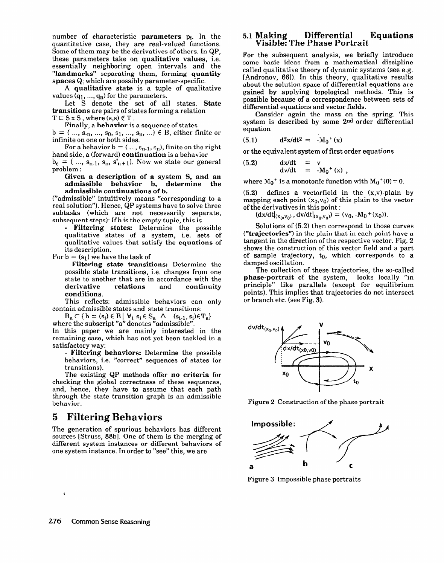number of characteristic **parameters pi.** In the quantitative case, they are real-valued functions. Some of them may be the derivatives of others. In QP, these parameters take on **qualitative values, i.e.**  essentially neighboring open intervals and the **"landmarks"** separating them, forming **quantity spaces** Qi which are possibly parameter-specific.

A **qualitative state** is a tuple of qualitative values  $(q_1, ..., q_n)$  for the parameters.

Let S denote the set of all states. **State transitions** are pairs of states forming a relation  $T \subset S \times S$ , where  $(s,s) \notin T$ .

Finally, a **behavior** is a sequence of states  $b = ( ..., s_{n}, ..., s_{0}, s_{1}, ..., s_{n}, ...) \in B$ , either finite or infinite on one or both sides.

For a behavior  $b = (..., s_{n-1}, s_n)$ , finite on the right hand side, a (forward) **continuation** is a behavior  $b_c = ( ... , s_{n-1}, s_n, s'_{n+1})$ . Now we state our general

problem : **Given a description of a system S, and an** 

**admissible behavior b, determine the admissible continuations of b.** 

("admissible" intuitively means "corresponding to a real solution"). Hence, QP systems have to solve three subtasks (which are not necessarily separate, subsequent steps): If b is the empty tuple, this is

**- Filtering states:** Determine the possible qualitative states of a system, i.e. sets of qualitative values that satisfy the **equations** of its description.

For  $b = (s_1)$  we have the task of

**- Filtering state transitions:** Determine the possible state transitions, i.e. changes from one state to another that are in accordance with the<br>derivative relations and continuity **derivative relations** and **continuity conditions.** 

This reflects: admissible behaviors can only contain admissible states and state transitions:

 $B_a \subset \{b = (s_i) \in B \mid \forall i \ s_i \in S_a \land (s_{i-1}, s_i) \in T_a\}$ where the subscript "a" denotes "admissible

In this paper we are mainly interested in the remaining case, which has not yet been tackled in a satisfactory way:

**- Filtering behaviors:** Determine the possible behaviors, i.e. "correct" sequences of states (or transitions).

The existing QP methods offer **no criteria** for checking the global correctness of these sequences, and, hence, they have to assume that each path through the state transition graph is an admissible behavior.

# **5 Filtering Behaviors**

The generation of spurious behaviors has different sources [Struss, 88b]. One of them is the merging of different system instances or different behaviors of one system instance. In order to "see" this, we are

#### 5.1 **Making Differential Equations 'Visible: The**

For the subsequent analysis, we **briefly** introduce some basic ideas from a mathematical discipline called qualitative theory of dynamic systems (see e.g. [Andronov, 661). In this theory, qualitative results about the solution space of differential equations are **gained by** applying topological methods. This is possible because of a correspondence between sets of differential equations and vector fields.

Consider again the mass on the spring. This **system is described by some 2nd order** differential equation

(5.1)  $d^2x/dt^2 = -M_0^+(x)$ 

 $(5.2)$ 

or **the** equivalent system of first order equations

$$
\begin{array}{rcl}\n\mathrm{d}x/\mathrm{d}t & = & v \\
\mathrm{d}v/\mathrm{d}t & = & -M_0^+(x) \, ,\n\end{array}
$$

where  $M_0^+$  is a monotonic function with  $M_0^+(0) = 0$ .

(5.2) defines a vectorfield in the (x,v)-plain by mapping each point  $(x_0, v_0)$  of this plain to the vector of the derivatives in this point :

 $(\text{dx/dt}|_{(x_0, v_0)}, \text{dv/dt}|_{(x_0, v_0)}) = (v_0, -M_0 + (x_0)).$ 

Solutions of (5.2) then correspond to those curves **("trajectories")** in the plain that in each point have a tangent in the direction of the respective vector. Fig. 2 shows the construction of this vector field and a part of sample trajectory, to, which corresponds to **a**  damped oscillation.

The collection of these trajectories, the so-called **phase-portrait** of the system, looks locally "in principle" like parallels (except for equilibrium points). This implies that trajectories do not intersect or **branch etc. (see Fig. 3).** 



**Figure** 2 Construction of the phase portrait



Figure 3 Impossible phase portraits

**s**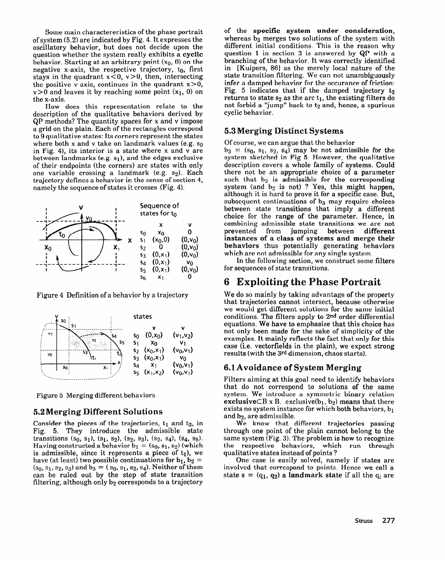Some main charactereristics of the phase portrait of system (5.2) are indicated by Fig. 4. It expresses the oscillatory behavior, but does not decide upon the question whether the system really exhibits a **cyclic**  behavior. Starting at an arbitrary point  $(x_0, 0)$  on the negative x-axis, the respective trajectory,  $t_0$ , first stays in the quadrant  $x < 0$ ,  $v > 0$ , then, intersecting the positive v-axis, continues in the quadrant  $x>0$ ,  $v>0$  and leaves it by reaching some point  $(x_1, 0)$  on the x-axis.

How does this representation relate to the description of the qualitative behaviors derived by QP methods? The quantity spaces for x and v impose a grid on the plain. Each of the rectangles correspond to 9 qualitative states: Its corners represent the states where both x and y take on landmark values (e.g.  $\mathfrak{so}$ in Fig. 4), its interior is a state where x and v are between landmarks (e.g.  $s_1$ ), and the edges exclusive of their endpoints (the corners) are states with only one variable crossing a landmark (e.g.  $s_2$ ). Each trajectory defines a behavior in the sense of section 4, namely the sequence of states it crosses (Fig. 4).



Figure 4 Definition of a behavior by a trajectory



Figure 5 Merging different behaviors

# **5.2 Merging Different Solutions**

Consider the pieces of the trajectories,  $t_1$  and  $t_2$ , in Fig. 5. They introduce the admissible state transitions  $(s_0, s_1)$ ,  $(s_1, s_2)$ ,  $(s_2, s_3)$ ,  $(s_2, s_4)$ ,  $(s_4, s_5)$ . Having constructed a behavior  $b_1 = (s_0, s_1, s_2)$  (which is admissible, since it represents a piece of  $t_1$ ), we have (at least) two possible continuations for  $b_1$ ,  $b_2$  =  $(s_0, s_1, s_2, s_3)$  and  $b_3 = (s_0, s_1, s_2, s_4)$ . Neither of them can be ruled out by the step of state transition filtering, although only b<sub>2</sub> corresponds to a trajectory

of the **specific system under consideration,**  whereas  $b_3$  merges two solutions of the system with different initial conditions. This is the reason why question 1 in section 3 is answered by QP with a branching of the behavior. It was correctly identified in [Kuipers, 86] as the merely local nature of the state transition filtering. We can not unambiguously infer a damped behavior for the occurance of friction: Fig. 5 indicates that if the damped trajectory  $t_2$ returns to state  $s<sub>2</sub>$  as the arc t<sub>1</sub>, the existing filters do not forbid a "jump" back to  $t_2$  and, hence, a spurious cyclic behavior.

# **5.3 Merging Distinct Systems**

Of course, we can argue that the behavior

 $b_3 = (s_0, s_1, s_2, s_4)$  may be not admissible for the system sketched in Fig 5. However, the qualitative description covers a whole family of systems. Could there not be an appropriate choice of a parameter such that  $\mathbf{b}_3$  is admissible for the correspondin system (and  $b_2$  is not) ? Yes, this might happen although it is hard to prove it for a specific case. But, subsequent continuations of  $b_3$  may require choices between state transitions that imply a different choice for the range of the parameter. Hence, in combining admissible state transitions we are not<br>prevented from jumping between different from jumping between different **instances of a class of systems and merge their behaviors** thus potentially generating behaviors which are not admissible for any single system.

In the following section, we construct some filters **for** sequences of state transitions.

# **6** Exploiting the Phase Portrait

We do so mainly by taking advantage of the property that trajectories cannot intersect, because otherwise we would get different solutions for the same initial conditions. The filters apply to 2nd order differential equations. We have to emphasize that this choice has not only been made for the sake of simplicity of the examples. It mainly reflects the fact that only for this case (i.e. vectorfields in the plain), we expect strong results (with the 3rd dimension, chaos starts).

# 6.1 Avoidance of System Merging

Filters aiming at this goal need to identify behaviors that do not correspond to solutions of the same system. We introduce a symmetric binary relation **exclusive** $CB \times B$ , exclusive $(b_1, b_2)$  means that there exists no system instance for which both behaviors,  $b_1$ and b<sub>2</sub>, are admissible.

We know that different trajectories passing through one point of the plain cannot belong to the same system **(Fig.** 3). The problem is how to recognize the respective behaviors, which run through qualitative states instead of points ?

One case is easily solved, namely if states are involved that correspond to points. Hence we call a state  $s = (q_1, q_2)$  a **landmark** state if all the  $q_i$  are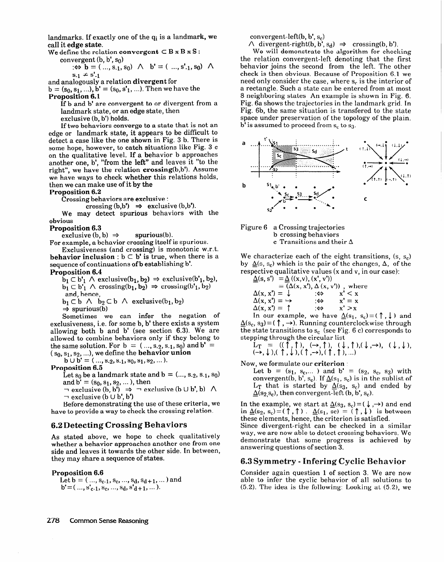landmarks. If exactly one of the  $q_i$  is a landmark, we call it **edge state.** 

We define the relation **convergent**  $\subset$  **B** x **B** x **S** :

convergent  $(b, b', s_0)$  $\mathbf{e} \oplus \mathbf{b} = ( \dots, s_{-1}, s_0) \land \mathbf{b'} = ( \dots, s'_{-1}, s_0) \land \mathbf{b'}$  $s_{-1} \neq s'_{-1}$ 

and analogously a relation **divergent** for

 $b = (s_0, s_1, ...)$ ,  $b' = (s_0, s'_1, ...)$ . Then we have the **Proposition 6.1** 

If b and b' are convergent to or divergent from a landmark state, or an edge state, then

exclusive (b, b') holds.

If two behaviors converge to a state that is not an edge or landmark state, it appears to be difficult to detect a case like the one shown in Fig. 3 b. There is some hope, however, to catch situations like Fig. 3 c on the qualitative level. If a behavior b approaches another one, b', "from the left" and leaves it "to the right", we have the relation crossing(b,b'). Assume we have ways to check whether this relations holds, then we can make use of it by the

#### **Proposition 6.2**

Crossing behaviors are exclusive :

crossing  $(b,b') \Rightarrow$  exclusive  $(b,b')$ .

We may detect spurious behaviors with the obvious

#### **Proposition 6.3**

 $\text{exclusive (b, b)} \Rightarrow \text{spurious(b)}.$ 

For example, a behavior crossing itself is spurious.

Exclusiveness (and crossing) is monotonic w.r.t. **behavior inclusion** :  $b \subset b'$  **is true**, when there is a sequence of continuations of b establishing b'.

**Proposition 6.4** 

 $\bar{b}_1 \subset b'_1 \land \text{exclusive}(b_1, b_2) \Rightarrow \text{exclusive}(b'_1, b_2),$  $b_1 \subset b'_1 \wedge \text{crossing}(b_1, b_2) \Rightarrow \text{crossing}(b'_1, b_2)$ and, hence,

 $b_1 \subset b \ \land \ b_2 \subset b \ \land \ \text{exclusive}(b_1, b_2)$ 

 $\Rightarrow$  spurious(b)

Sometimes we can infer the negation of exclusiveness, i.e. for some b, b' there exists a system allowing both b and b' (see section 6.3). We are allowed to combine behaviors only if they belong to the same solution. For  $b = (..., s_2, s_1, s_0)$  and  $b' =$  $(s_0, s_1, s_2, \ldots)$ , we define the **behavior union** 

 $\mathbf{b} \cup \mathbf{b}' = (..., \mathbf{s}_{2}, \mathbf{s}_{1}, \mathbf{s}_{0}, \mathbf{s}_{1}, \mathbf{s}_{2}, ...).$ 

**Proposition 6.5** 

Let  $s_0$  be a landmark state and  $b = (..., s_{2}, s_{1}, s_{0})$ and  $b' = (s_0, s_1, s_2, \dots)$ , then

 $\neg$  exclusive (b, b')  $\Rightarrow \neg$  exclusive (b  $\cup$  b', b)  $\land$  $\lnot$  exclusive (b  $\cup$  b', b')

Before demonstrating the use of these criteria, we have to provide a way to check the crossing relation.

#### **6.2 Detecting Crossing Behaviors**

As stated above, we hope to check qualitatively whether a behavior approaches another one from one side and leaves it towards the other side. In between, they may share a sequence of states.

**Proposition 6.6** 

Let  $b = (..., s_{c-1}, s_c, ..., s_d, s_{d+1}, ...)$  and  $\mathbf{b}' = ( ..., \mathbf{s}'_{c-1}, \mathbf{s}_c, ..., \mathbf{s}_d, \mathbf{s}'_{d+1}, ...).$ 

convergent-left(b,  $b', s_c$ )

 $\wedge$  divergent-right(b, b', s<sub>d</sub>)  $\Rightarrow$  crossing(b, b'). We will demonstrate the algorithm for checking the relation convergent-left denoting that the first behavior joins the second from the left. The other check is then obvious. Because of Proposition 6.1 we need only consider the case, where s, is the interior of a rectangle. Such a state can be entered from at most 8 neighboring states An example is shown in Fig. 6. Fig. 6a shows the trajectories in the landmark grid. In Fig. 6b, the same situation is transfered to the state space under preservation of the topology of the plain.  $\mathbf{b}^{\dagger}$  is assumed to proceed from  $\mathbf{s}_c$  to  $\mathbf{s}_3$ .





We characterize each of the eight transitions,  $(s, s_c)$ by  $\Delta(s, s_c)$  which is the pair of the changes,  $\Delta$ , of the respective qualitative values (x and v, in our case):

 $\underline{\Delta}(s, s') = \underline{\Delta} ((x,v), (x', v'))$  $\Delta(x, x') = \downarrow$  $(x, x), \Delta(x, y)$ , where  $: \Leftrightarrow$   $X' \leq X$  $\Delta(x, x') = \rightarrow$   $\Leftrightarrow$   $x' = x$  $\Delta(x, x') = \uparrow$  : $\Leftrightarrow$   $x' > x$ 

In our example, we have  $\Delta(s_1, s_c) = (\uparrow, \downarrow)$  and  $\underline{\Delta}(s_c, s_3) = (\uparrow, \rightarrow)$ . Running counterclockwise through the state transitions to  $s_c$  (see Fig. 6 c) corresponds to stepping through the circular list

 $L_{\rm T} = (U_1, U_2, \ldots, U_{\ell-1}, U_{\ell}, \ldots, U_{\ell}, U_{\ell}, \ldots, U_{\ell}, U_{\ell}, \ldots, U_{\ell}, U_{\ell}, \ldots, U_{\ell}, U_{\ell}, \ldots, U_{\ell}, U_{\ell}, \ldots, U_{\ell}, U_{\ell}, \ldots, U_{\ell}, U_{\ell}, \ldots, U_{\ell}, U_{\ell}, \ldots, U_{\ell}, U_{\ell}, \ldots, U_{\ell}, U_{\ell}, \ldots, U_{\ell}, U_{\ell}, \ldots, U_{\ell}, U_{\ell}, \ldots, U_{\ell}, U_{\ell}, \ldots, U_{$  $(\rightarrow, \psi),$   $(1, \psi),$   $(1, \rightarrow)$ ,  $($ 

Now, we formulate our **criterion** 

Let  $b = (s_1, s_c, \ldots)$  and  $b' = (s_2, s_c, s_3)$  with convergent(b, b', s<sub>c</sub>). If  $\underline{\Delta}(s_1, s_c)$  is in the sublist of  $L_T$  that is started by  $\underline{\Delta}(s_3, s_c)$  and ended by  $\Delta$ (s<sub>2,</sub>s<sub>c</sub>), then convergent-left (b, b', s<sub>c</sub>).

In the example, we start at  $\underline{\Delta}(s_3, s_c) = (\downarrow, \rightarrow)$  and end in  $\Delta(s_2, s_c) = (\uparrow, \uparrow)$ .  $\Delta(s_1, sc) = (\uparrow, \downarrow)$  is between these elements, hence, the criterion is satisfied.

Since divergent-right can be checked in a similar way, we are now able to detect crossing behaviors. We demonstrate that some progress is achieved by answering questions of section 3.

## **6.3 Symmetry - Hnfering Cyclic**

Consider again question 1 of section 3. We are now able to infer the cyclic behavior of all solutions to  $(5.2)$ . The idea is the following: Looking at  $(5.2)$ , we